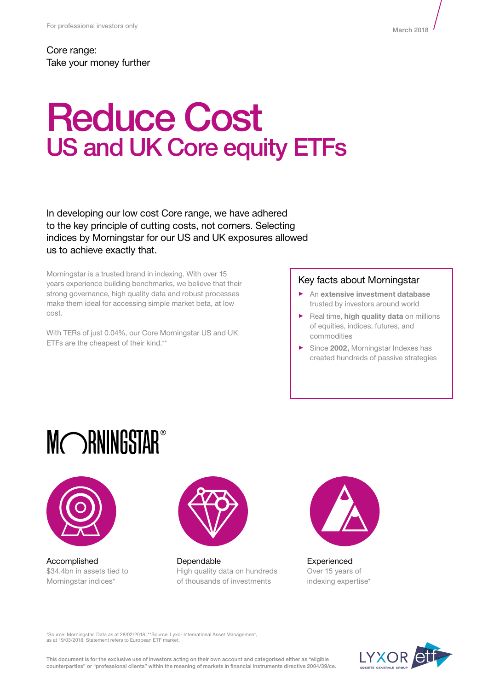Core range: Take your money further

# Reduce Cost US and UK Core equity ETFs

In developing our low cost Core range, we have adhered to the key principle of cutting costs, not corners. Selecting indices by Morningstar for our US and UK exposures allowed us to achieve exactly that.

Morningstar is a trusted brand in indexing. With over 15 years experience building benchmarks, we believe that their strong governance, high quality data and robust processes make them ideal for accessing simple market beta, at low cost.

With TERs of just 0.04%, our Core Morningstar US and UK ETFs are the cheapest of their kind.\*\*

#### Key facts about Morningstar

- ► An **extensive investment database** trusted by investors around world
- ► Real time, **high quality data** on millions of equities, indices, futures, and commodities
- ► Since **2002,** Morningstar Indexes has created hundreds of passive strategies

# MORNINGSTAR®



Accomplished \$34.4bn in assets tied to Morningstar indices\*



Dependable High quality data on hundreds of thousands of investments



Experienced Over 15 years of indexing expertise\*

\*Source: Morningstar. Data as at 28/02/2018. \*\*Source: Lyxor International Asset Management, as at 19/03/2018. Statement refers to European ETF market.

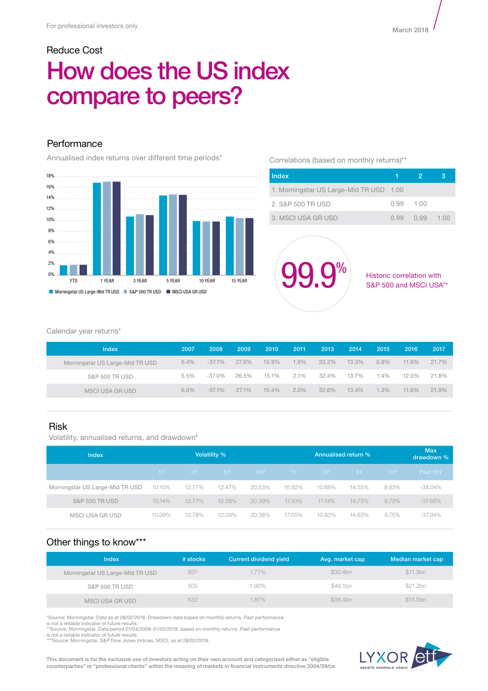# Reduce Cost How does the US index compare to peers?

## **Performance**

Annualised index returns over different time periods\*



Correlations (based on monthly returns)\*\*

| Index                                   |           | 2.             | з |
|-----------------------------------------|-----------|----------------|---|
| 1. Morningstar US Large-Mid TR USD 1.00 |           |                |   |
| 2. S&P 500 TR USD                       | 0.99 1.00 |                |   |
| 3. MSCI USA GR USD                      |           | 0.99 0.99 1.00 |   |

**99.9%** Historic correlation with

S&P 500 and MSCI USA\*\*

#### Calendar year returns\*

| <b>Index</b>                    | 2007    | 2008      | 2009  | 2010  | 2011    | 2013  | 2014  | 2015    | 2016  | 2017     |
|---------------------------------|---------|-----------|-------|-------|---------|-------|-------|---------|-------|----------|
| Morningstar US Large-Mid TR USD | $6.4\%$ | $-37.1%$  | 27.8% | 15.9% | $1.9\%$ | 33.2% | 13.3% | $0.9\%$ | 11.6% | $21.7\%$ |
| S&P 500 TR USD                  | 5.5%    | $-37.0\%$ | 26.5% | 15.1% | 2.1%    | 32.4% | 13.7% | 1.4%    | 12.0% | 21.8%    |
| MSCI USA GR USD                 | $6.0\%$ | $-37.1%$  | 27.1% | 15.4% | 2.0%    | 32.6% | 13.4% | 1.3%    | 11.6% | $21.9\%$ |

### Risk

Volatility, annualised returns, and drawdown\*

| Index                           | Volatility % |        |           |        | Annualised return % |        |        |       | <b>Max</b><br>drawdown % |
|---------------------------------|--------------|--------|-----------|--------|---------------------|--------|--------|-------|--------------------------|
|                                 | $1Y -$       | -3Y    | <b>5Y</b> | 10Y    | $1Y -$              | -3Y -  | 5Y     | 10Y   | Past 15Y                 |
| Morningstar US Large-Mid TR USD | 10.10%       | 12.77% | 12.47%    | 20.53% | 16.92%              | 10.69% | 14.55% | 9.83% | $-38.04\%$               |
| <b>S&amp;P 500 TR USD</b>       | 10.14%       | 12.77% | 12.28%    | 20.39% | 17.10%              | 11.14% | 14.73% | 9.73% | $-37.66\%$               |
| MSCI USA GR USD                 | 10.09%       | 12.78% | 12.29%    | 20.38% | 17.05%              | 10.93% | 14.63% | 9.75% | $-37.94\%$               |

# Other things to know\*\*\*

| <b>Index</b>                    | $#$ stocks | <b>Current dividend yield</b> | Avg. market cap | Median market cap |
|---------------------------------|------------|-------------------------------|-----------------|-------------------|
| Morningstar US Large-Mid TR USD | 837        | $1.77\%$                      | \$30.4bn        | \$11.3bn          |
| S&P 500 TR USD                  | 505        | 1.90%                         | \$48.1bn        | \$21.2bn          |
| MSCI USA GR USD                 | 632        | 1.87%                         | \$38.4bn        | \$15.5bn          |

\*Source: Morningstar. Data as at 28/02/2018. Drawdown data based on monthly returns. Past performance

is not a reliable indicator of future results. \*\*Source: Morningstar. Data period 01/04/2008-31/03/2018, based on monthly returns. Past performance

is not a reliable indicator of future results. \*\*\*Source: Morningstar, S&P Dow Jones Indices, MSCI, as at 28/02/2018.

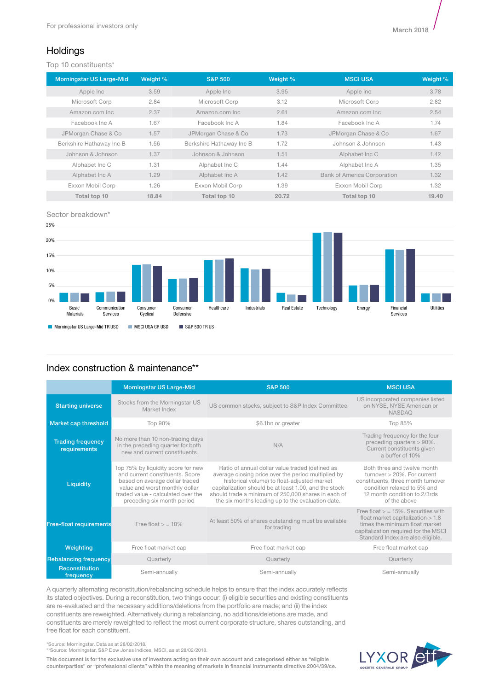# **Holdings**

Top 10 constituents\*

| <b>Morningstar US Large-Mid</b> | Weight % | <b>S&amp;P 500</b>       | Weight % | <b>MSCI USA</b>                    | Weight % |
|---------------------------------|----------|--------------------------|----------|------------------------------------|----------|
| Apple Inc                       | 3.59     | Apple Inc                | 3.95     | Apple Inc                          | 3.78     |
| Microsoft Corp                  | 2.84     | Microsoft Corp           | 3.12     | Microsoft Corp                     | 2.82     |
| Amazon.com Inc.                 | 2.37     | Amazon.com Inc.          | 2.61     | Amazon.com Inc.                    | 2.54     |
| Facebook Inc A                  | 1.67     | Facebook Inc A           | 1.84     | Facebook Inc A                     | 1.74     |
| JPMorgan Chase & Co             | 1.57     | JPMorgan Chase & Co      | 1.73     | JPMorgan Chase & Co                | 1.67     |
| Berkshire Hathaway Inc B        | 1.56     | Berkshire Hathaway Inc B | 1.72     | Johnson & Johnson                  | 1.43     |
| Johnson & Johnson               | 1.37     | Johnson & Johnson        | 1.51     | Alphabet Inc C                     | 1.42     |
| Alphabet Inc C                  | 1.31     | Alphabet Inc C           | 1.44     | Alphabet Inc A                     | 1.35     |
| Alphabet Inc A                  | 1.29     | Alphabet Inc A           | 1.42     | <b>Bank of America Corporation</b> | 1.32     |
| Exxon Mobil Corp                | 1.26     | Exxon Mobil Corp         | 1.39     | Exxon Mobil Corp                   | 1.32     |
| Total top 10                    | 18.84    | Total top 10             | 20.72    | Total top 10                       | 19.40    |

Sector breakdown\*



# Index construction & maintenance\*\*

|                                          | <b>Morningstar US Large-Mid</b>                                                                                                                                                                               | <b>S&amp;P 500</b>                                                                                                                                                                                                                                                                                                         | <b>MSCI USA</b>                                                                                                                                                                             |
|------------------------------------------|---------------------------------------------------------------------------------------------------------------------------------------------------------------------------------------------------------------|----------------------------------------------------------------------------------------------------------------------------------------------------------------------------------------------------------------------------------------------------------------------------------------------------------------------------|---------------------------------------------------------------------------------------------------------------------------------------------------------------------------------------------|
| <b>Starting universe</b>                 | Stocks from the Morningstar US<br>Market Index                                                                                                                                                                | US common stocks, subject to S&P Index Committee                                                                                                                                                                                                                                                                           | US incorporated companies listed<br>on NYSE, NYSE American or<br><b>NASDAQ</b>                                                                                                              |
| Market cap threshold                     | Top 90%                                                                                                                                                                                                       | \$6.1bn or greater                                                                                                                                                                                                                                                                                                         | Top 85%                                                                                                                                                                                     |
| <b>Trading frequency</b><br>requirements | No more than 10 non-trading days<br>in the preceding quarter for both<br>new and current constituents                                                                                                         | N/A                                                                                                                                                                                                                                                                                                                        | Trading frequency for the four<br>preceding quarters > 90%.<br>Current constituents given<br>a buffer of 10%                                                                                |
| Liquidity                                | Top 75% by liquidity score for new<br>and current constituents. Score<br>based on average dollar traded<br>value and worst monthly dollar<br>traded value - calculated over the<br>preceding six month period | Ratio of annual dollar value traded (defined as<br>average closing price over the period multiplied by<br>historical volume) to float-adjusted market<br>capitalization should be at least 1.00, and the stock<br>should trade a minimum of 250,000 shares in each of<br>the six months leading up to the evaluation date. | Both three and twelve month<br>turnover > 20%. For current<br>constituents, three month turnover<br>condition relaxed to 5% and<br>12 month condition to 2/3rds<br>of the above             |
| <b>Free-float requirements</b>           | Free float $>$ = 10%                                                                                                                                                                                          | At least 50% of shares outstanding must be available<br>for trading                                                                                                                                                                                                                                                        | Free float $>$ = 15%. Securities with<br>float market capitalization $> 1.8$<br>times the minimum float market<br>capitalization required for the MSCI<br>Standard Index are also eligible. |
| Weighting                                | Free float market cap                                                                                                                                                                                         | Free float market cap                                                                                                                                                                                                                                                                                                      | Free float market cap                                                                                                                                                                       |
| <b>Rebalancing frequency</b>             | Quarterly                                                                                                                                                                                                     | Quarterly                                                                                                                                                                                                                                                                                                                  | Quarterly                                                                                                                                                                                   |
| <b>Reconstitution</b><br>frequency       | Semi-annually                                                                                                                                                                                                 | Semi-annually                                                                                                                                                                                                                                                                                                              | Semi-annually                                                                                                                                                                               |

A quarterly alternating reconstitution/rebalancing schedule helps to ensure that the index accurately reflects its stated objectives. During a reconstitution, two things occur: (i) eligible securities and existing constituents are re-evaluated and the necessary additions/deletions from the portfolio are made; and (ii) the index constituents are reweighted. Alternatively during a rebalancing, no additions/deletions are made, and constituents are merely reweighted to reflect the most current corporate structure, shares outstanding, and free float for each constituent.

\*Source: Morningstar. Data as at 28/02/2018. \*\*Source: Morningstar, S&P Dow Jones Indices, MSCI, as at 28/02/2018.

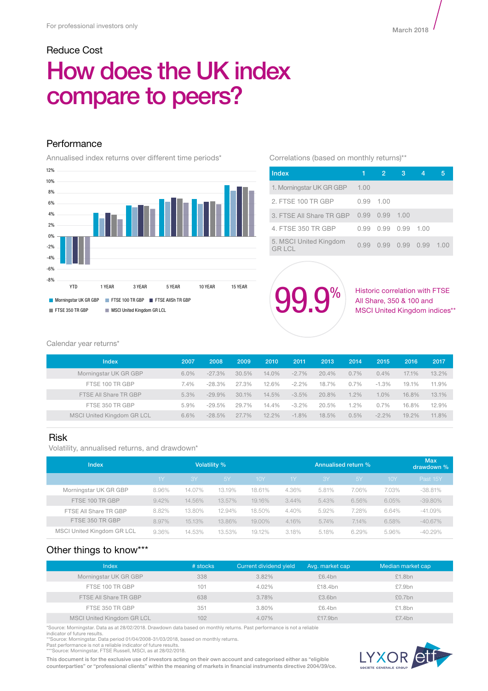# Reduce Cost How does the UK index compare to peers?

## Performance

Annualised index returns over different time periods\*



#### Correlations (based on monthly returns)\*\*

| <b>Index</b>                    |      | 2.             | з   |      |      |
|---------------------------------|------|----------------|-----|------|------|
| 1. Morningstar UK GR GBP        | 1.00 |                |     |      |      |
| 2. FTSE 100 TR GBP              | O 99 | 1.00           |     |      |      |
| 3. FTSE All Share TR GBP        | 0.99 | 0.99           | 100 |      |      |
| 4. FTSE 350 TR GBP              | O 99 | 0.99 0.99      |     | 1.00 |      |
| 5. MSCI United Kingdom<br>GRICI | 0.99 | 0.99 0.99 0.99 |     |      | 1.00 |



Historic correlation with FTSE All Share, 350 & 100 and MSCI United Kingdom indices\*\*

Calendar year returns\*

| Index                      | 2007 | 2008      | 2009  | 2010  | 2011     | 2013  | 2014    | 2015     | 2016  | 2017  |
|----------------------------|------|-----------|-------|-------|----------|-------|---------|----------|-------|-------|
| Morningstar UK GR GBP      | 6.0% | $-27.3%$  | 30.5% | 14.0% | $-2.7\%$ | 20.4% | 0.7%    | $0.4\%$  | 17.1% | 13.2% |
| FTSE 100 TR GBP            | 7.4% | $-28.3\%$ | 27.3% | 12.6% | $-2.2\%$ | 18.7% | 0.7%    | $-1.3%$  | 19.1% | 11.9% |
| FTSE All Share TR GBP      | 5.3% | $-29.9%$  | 30.1% | 14.5% | $-3.5%$  | 20.8% | $1.2\%$ | $1.0\%$  | 16.8% | 13.1% |
| FTSE 350 TR GBP            | 5.9% | $-29.5%$  | 29.7% | 14.4% | $-3.2\%$ | 20.5% | 1.2%    | $0.7\%$  | 16.8% | 12.9% |
| MSCI United Kingdom GR LCL | 6.6% | $-28.5%$  | 27.7% | 12.2% | $-1.8%$  | 18.5% | 0.5%    | $-2.2\%$ | 19.2% | 11.8% |

#### Risk

Volatility, annualised returns, and drawdown\*

| Index                      |       | <b>Volatility %</b> |        |            |          | Annualised return % |           |       |            |
|----------------------------|-------|---------------------|--------|------------|----------|---------------------|-----------|-------|------------|
|                            | 1Y    | I 3Y'               | 5Y     | <b>10Y</b> | 1Y       | <b>3Y</b>           | <b>5Y</b> | 10Y   | Past 15Y   |
| Morningstar UK GR GBP      | 8.96% | 14.07%              | 13.19% | 18.61%     | 4.36%    | 5.81%               | 7.06%     | 7.03% | $-38.81%$  |
| FTSE 100 TR GBP            | 9.42% | 14.56%              | 13.57% | 19.16%     | $3.44\%$ | 5.43%               | 6.56%     | 6.05% | $-39.80\%$ |
| FTSE All Share TR GBP      | 8.82% | 13.80%              | 12.94% | 18.50%     | 4.40%    | 5.92%               | 7.28%     | 6.64% | $-41.09\%$ |
| FTSE 350 TR GBP            | 8.97% | 15.13%              | 13.86% | 19.00%     | 4.16%    | 5.74%               | 7.14%     | 6.58% | $-40.67\%$ |
| MSCI United Kingdom GR LCL | 9.36% | 14.53%              | 13.53% | 19.12%     | 3.18%    | 5.18%               | 6.29%     | 5.96% | $-40.29%$  |

### Other things to know\*\*\*

| Index                             | # stocks | Current dividend yield | Avg. market cap | Median market cap |
|-----------------------------------|----------|------------------------|-----------------|-------------------|
| Morningstar UK GR GBP             | 338      | 3.82%                  | £6.4bn          | £1.8bn            |
| FTSE 100 TR GBP                   | 101      | 4.02%                  | £18.4bn         | £7.9bn            |
| FTSE All Share TR GBP             | 638      | 3.78%                  | £3.6bn          | £0.7bn            |
| FTSE 350 TR GBP                   | 351      | 3.80%                  | £6.4bn          | £1.8bn            |
| <b>MSCI United Kingdom GR LCL</b> | 102      | 4.07%                  | £17.9bn         | £7.4bn            |

\*Source: Morningstar. Data as at 28/02/2018. Drawdown data based on monthly returns. Past performance is not a reliable

indicator of future results.<br>\*\*Source: Morningstar. Data period 01/04/2008-31/03/2018, based on monthly returns.<br>Past performance is not a reliable indicator of future results.<br>\*\*\*Source: Morningstar, FTSE Russell, MSCI, a

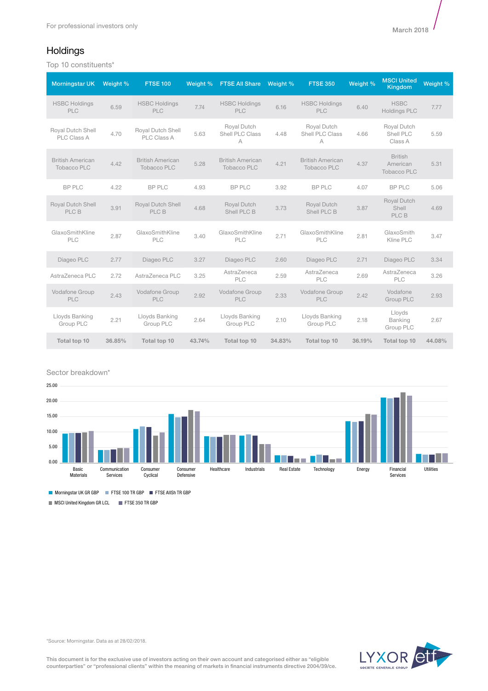# **Holdings**

Top 10 constituents\*

| <b>Morningstar UK</b>                         | Weight % | <b>FTSE 100</b>                               | Weight % | <b>FTSE All Share</b>                         | Weight % | <b>FTSE 350</b>                               | Weight % | <b>MSCI United</b><br><b>Kingdom</b>             | Weight % |
|-----------------------------------------------|----------|-----------------------------------------------|----------|-----------------------------------------------|----------|-----------------------------------------------|----------|--------------------------------------------------|----------|
| <b>HSBC Holdings</b><br><b>PLC</b>            | 6.59     | <b>HSBC Holdings</b><br><b>PLC</b>            | 7.74     | <b>HSBC Holdings</b><br><b>PLC</b>            | 6.16     | <b>HSBC Holdings</b><br><b>PLC</b>            | 6.40     | <b>HSBC</b><br><b>Holdings PLC</b>               | 7.77     |
| Royal Dutch Shell<br>PLC Class A              | 4.70     | Royal Dutch Shell<br>PLC Class A              | 5.63     | Royal Dutch<br>Shell PLC Class<br>A           | 4.48     | Royal Dutch<br>Shell PLC Class<br>A           | 4.66     | Royal Dutch<br>Shell PLC<br>Class A              | 5.59     |
| <b>British American</b><br><b>Tobacco PLC</b> | 4.42     | <b>British American</b><br><b>Tobacco PLC</b> | 5.28     | <b>British American</b><br><b>Tobacco PLC</b> | 4.21     | <b>British American</b><br><b>Tobacco PLC</b> | 4.37     | <b>British</b><br>American<br><b>Tobacco PLC</b> | 5.31     |
| BP PLC                                        | 4.22     | <b>BP PLC</b>                                 | 4.93     | BP PLC                                        | 3.92     | BP PLC                                        | 4.07     | <b>BP PLC</b>                                    | 5.06     |
| Royal Dutch Shell<br>PLC B                    | 3.91     | Royal Dutch Shell<br>PLC B                    | 4.68     | <b>Royal Dutch</b><br>Shell PLC B             | 3.73     | Royal Dutch<br>Shell PLC B                    | 3.87     | <b>Royal Dutch</b><br>Shell<br>PLC B             | 4.69     |
| GlaxoSmithKline<br>PLC                        | 2.87     | GlaxoSmithKline<br>PLC                        | 3.40     | GlaxoSmithKline<br>PLC                        | 2.71     | GlaxoSmithKline<br>PLC                        | 2.81     | GlaxoSmith<br>Kline PLC                          | 3.47     |
| Diageo PLC                                    | 2.77     | Diageo PLC                                    | 3.27     | Diageo PLC                                    | 2.60     | Diageo PLC                                    | 2.71     | Diageo PLC                                       | 3.34     |
| AstraZeneca PLC                               | 2.72     | AstraZeneca PLC                               | 3.25     | AstraZeneca<br>PLC                            | 2.59     | AstraZeneca<br>PLC                            | 2.69     | AstraZeneca<br>PLC                               | 3.26     |
| Vodafone Group<br>PLC                         | 2.43     | Vodafone Group<br><b>PLC</b>                  | 2.92     | Vodafone Group<br><b>PLC</b>                  | 2.33     | Vodafone Group<br><b>PLC</b>                  | 2.42     | Vodafone<br>Group PLC                            | 2.93     |
| Lloyds Banking<br>Group PLC                   | 2.21     | Lloyds Banking<br>Group PLC                   | 2.64     | Lloyds Banking<br>Group PLC                   | 2.10     | Lloyds Banking<br>Group PLC                   | 2.18     | Lloyds<br><b>Banking</b><br>Group PLC            | 2.67     |
| Total top 10                                  | 36.85%   | Total top 10                                  | 43.74%   | Total top 10                                  | 34.83%   | Total top 10                                  | 36.19%   | Total top 10                                     | 44.08%   |

Sector breakdown\*



Morningstar UK GR GBP FTSE 100 TR GBP FTSE AIISh TR GBP

MSCI United Kingdom GR LCL FTSE 350 TR GBP



\*Source: Morningstar. Data as at 28/02/2018.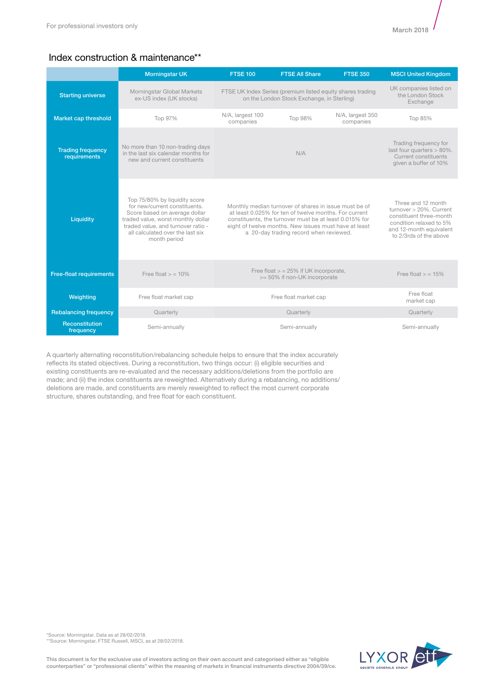# Index construction & maintenance\*\*

|                                          | <b>Morningstar UK</b>                                                                                                                                                                                                           | <b>FTSE 100</b>               | <b>FTSE All Share</b>                                                                                                                                                                                                                                                       | <b>FTSE 350</b>               | <b>MSCI United Kingdom</b>                                                                                                                               |
|------------------------------------------|---------------------------------------------------------------------------------------------------------------------------------------------------------------------------------------------------------------------------------|-------------------------------|-----------------------------------------------------------------------------------------------------------------------------------------------------------------------------------------------------------------------------------------------------------------------------|-------------------------------|----------------------------------------------------------------------------------------------------------------------------------------------------------|
| <b>Starting universe</b>                 | Morningstar Global Markets<br>ex-US index (UK stocks)                                                                                                                                                                           |                               | FTSE UK Index Series (premium listed equity shares trading<br>on the London Stock Exchange, in Sterling)                                                                                                                                                                    |                               | UK companies listed on<br>the London Stock<br>Exchange                                                                                                   |
| Market cap threshold                     | Top 97%                                                                                                                                                                                                                         | N/A, largest 100<br>companies | Top 98%                                                                                                                                                                                                                                                                     | N/A, largest 350<br>companies | Top 85%                                                                                                                                                  |
| <b>Trading frequency</b><br>requirements | No more than 10 non-trading days<br>in the last six calendar months for<br>new and current constituents                                                                                                                         |                               | N/A                                                                                                                                                                                                                                                                         |                               | Trading frequency for<br>last four quarters $> 80\%$ .<br>Current constituents<br>given a buffer of 10%                                                  |
| Liquidity                                | Top 75/80% by liquidity score<br>for new/current constituents.<br>Score based on average dollar<br>traded value, worst monthly dollar<br>traded value, and turnover ratio -<br>all calculated over the last six<br>month period |                               | Monthly median turnover of shares in issue must be of<br>at least 0.025% for ten of twelve months. For current<br>constituents, the turnover must be at least 0.015% for<br>eight of twelve months. New issues must have at least<br>a 20-day trading record when reviewed. |                               | Three and 12 month<br>turnover > 20%. Current<br>constituent three-month<br>condition relaxed to 5%<br>and 12-month equivalent<br>to 2/3rds of the above |
| <b>Free-float requirements</b>           | Free float $>$ = 10%                                                                                                                                                                                                            |                               | Free float $>$ = 25% if UK incorporate,<br>>= 50% if non-UK incorporate                                                                                                                                                                                                     |                               | Free float $>$ = 15%                                                                                                                                     |
| Weighting                                | Free float market cap                                                                                                                                                                                                           |                               | Free float market cap                                                                                                                                                                                                                                                       |                               | Free float<br>market cap                                                                                                                                 |
| <b>Rebalancing frequency</b>             | Quarterly                                                                                                                                                                                                                       |                               | Quarterly                                                                                                                                                                                                                                                                   |                               | Quarterly                                                                                                                                                |
| Reconstitution<br>frequency              | Semi-annually                                                                                                                                                                                                                   |                               | Semi-annually                                                                                                                                                                                                                                                               |                               | Semi-annually                                                                                                                                            |

A quarterly alternating reconstitution/rebalancing schedule helps to ensure that the index accurately reflects its stated objectives. During a reconstitution, two things occur: (i) eligible securities and existing constituents are re-evaluated and the necessary additions/deletions from the portfolio are made; and (ii) the index constituents are reweighted. Alternatively during a rebalancing, no additions/ deletions are made, and constituents are merely reweighted to reflect the most current corporate structure, shares outstanding, and free float for each constituent.

\*Source: Morningstar. Data as at 28/02/2018. \*\*Source: Morningstar, FTSE Russell, MSCI, as at 28/02/2018.

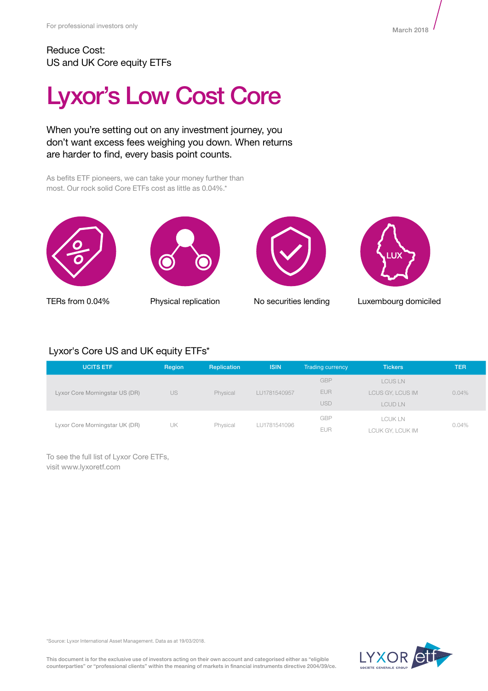# Lyxor's Low Cost Core

When you're setting out on any investment journey, you don't want excess fees weighing you down. When returns are harder to find, every basis point counts.

As befits ETF pioneers, we can take your money further than most. Our rock solid Core ETFs cost as little as 0.04%.\*









TERs from 0.04% Physical replication No securities lending Luxembourg domiciled

# Lyxor's Core US and UK equity ETFs\*

| <b>UCITS ETF</b>               | Region | Replication | <b>ISIN</b>  | <b>Trading currency</b> | <b>Tickers</b>   | <b>TER</b> |
|--------------------------------|--------|-------------|--------------|-------------------------|------------------|------------|
| Lyxor Core Morningstar US (DR) | US     | Physical    | LU1781540957 | <b>GBP</b>              | <b>LCUS LN</b>   |            |
|                                |        |             |              | <b>EUR</b>              | LCUS GY, LCUS IM | 0.04%      |
|                                |        |             |              | <b>USD</b>              | LCUD LN          |            |
| Lyxor Core Morningstar UK (DR) | UK     | Physical    | LU1781541096 | <b>GBP</b>              | <b>LCUKLN</b>    | 0.04%      |
|                                |        |             |              | <b>EUR</b>              | LCUK GY, LCUK IM |            |

To see the full list of Lyxor Core ETFs, visit www.lyxoretf.com



\*Source: Lyxor International Asset Management. Data as at 19/03/2018.